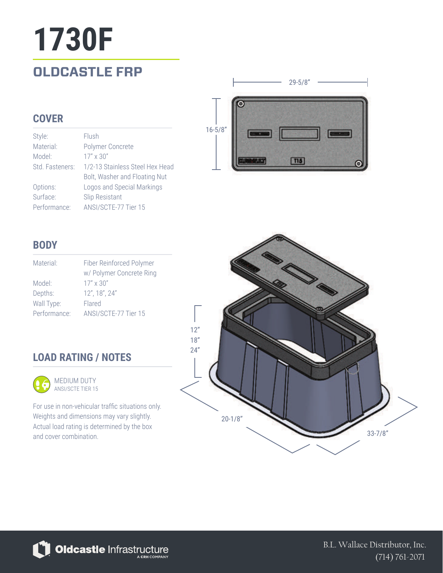# **OLDCASTLE FRP 1730F**

### **COVER**

| Style:          | Flush                           |
|-----------------|---------------------------------|
| Material:       | Polymer Concrete                |
| Model:          | $17'' \times 30''$              |
| Std. Fasteners: | 1/2-13 Stainless Steel Hex Head |
|                 | Bolt, Washer and Floating Nut   |
| Options:        | Logos and Special Markings      |
| Surface:        | Slip Resistant                  |
| Performance:    | ANSI/SCTE-77 Tier 15            |



29-5/8"

#### **BODY**

| Material:    | Fiber Reinforced Polymer |
|--------------|--------------------------|
|              | w/ Polymer Concrete Ring |
| Model:       | $17" \times 30"$         |
| Depths:      | 12", 18", 24"            |
| Wall Type:   | Flared                   |
| Performance: | ANSI/SCTE-77 Tier 15     |

### **LOAD RATING / NOTES**



For use in non-vehicular traffic situations only. Weights and dimensions may vary slightly. Actual load rating is determined by the box and cover combination.



Oldcastle Infrastructure

B.L. Wallace Distributor, Inc. (714) 761-2071